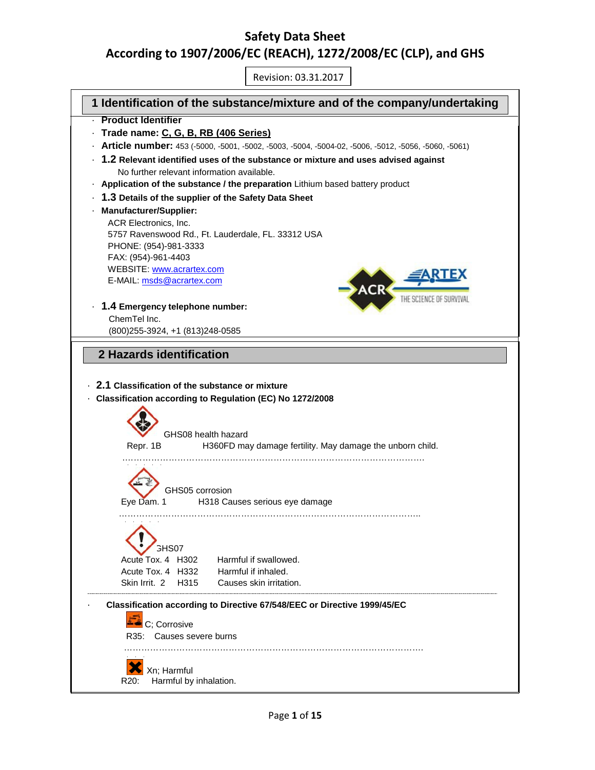# **Safety Data Sheet According to 1907/2006/EC (REACH), 1272/2008/EC (CLP), and GHS**

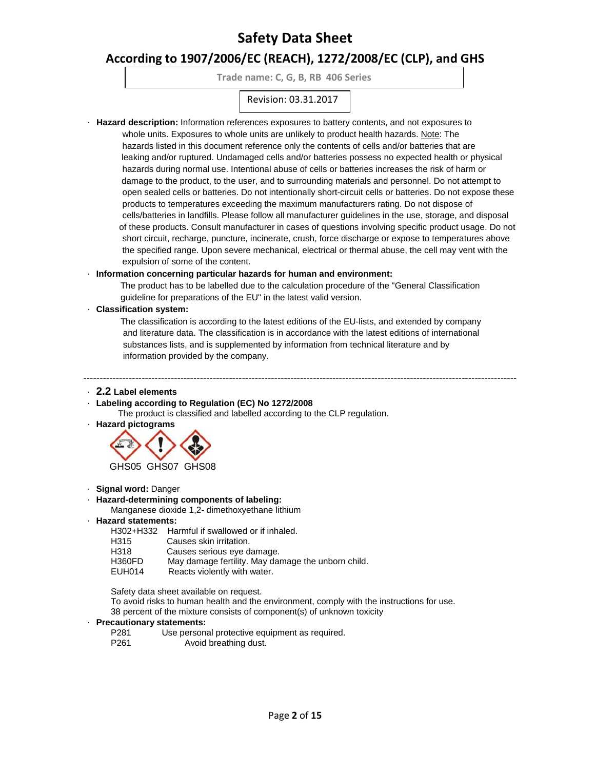## **According to 1907/2006/EC (REACH), 1272/2008/EC (CLP), and GHS**

**Trade name: C, G, B, RB 406 Series**

## Revision: 03.31.2017

· **Hazard description:** Information references exposures to battery contents, and not exposures to

whole units. Exposures to whole units are unlikely to product health hazards. Note: The hazards listed in this document reference only the contents of cells and/or batteries that are leaking and/or ruptured. Undamaged cells and/or batteries possess no expected health or physical hazards during normal use. Intentional abuse of cells or batteries increases the risk of harm or damage to the product, to the user, and to surrounding materials and personnel. Do not attempt to open sealed cells or batteries. Do not intentionally short-circuit cells or batteries. Do not expose these products to temperatures exceeding the maximum manufacturers rating. Do not dispose of cells/batteries in landfills. Please follow all manufacturer guidelines in the use, storage, and disposal of these products. Consult manufacturer in cases of questions involving specific product usage. Do not short circuit, recharge, puncture, incinerate, crush, force discharge or expose to temperatures above the specified range. Upon severe mechanical, electrical or thermal abuse, the cell may vent with the expulsion of some of the content.

### · **Information concerning particular hazards for human and environment:**

The product has to be labelled due to the calculation procedure of the "General Classification guideline for preparations of the EU" in the latest valid version.

#### · **Classification system:**

The classification is according to the latest editions of the EU-lists, and extended by company and literature data. The classification is in accordance with the latest editions of international substances lists, and is supplemented by information from technical literature and by information provided by the company.

--------------------------------------------------------------------------------------------------------------------------------------

#### · **2.2 Label elements**

· **Labeling according to Regulation (EC) No 1272/2008**

The product is classified and labelled according to the CLP regulation.

· **Hazard pictograms**



· **Signal word:** Danger

#### · **Hazard-determining components of labeling:**

Manganese dioxide 1,2- dimethoxyethane lithium

· **Hazard statements:**

H302+H332 Harmful if swallowed or if inhaled.

- H315 Causes skin irritation.
- H318 Causes serious eye damage.<br>H360FD May damage fertility. May dar
- H360FD May damage fertility. May damage the unborn child.<br>EUH014 Reacts violently with water.
- Reacts violently with water.

Safety data sheet available on request.

 To avoid risks to human health and the environment, comply with the instructions for use. 38 percent of the mixture consists of component(s) of unknown toxicity

#### · **Precautionary statements:**

| P <sub>281</sub> | Use personal protective equipment as required. |
|------------------|------------------------------------------------|
| P <sub>261</sub> | Avoid breathing dust.                          |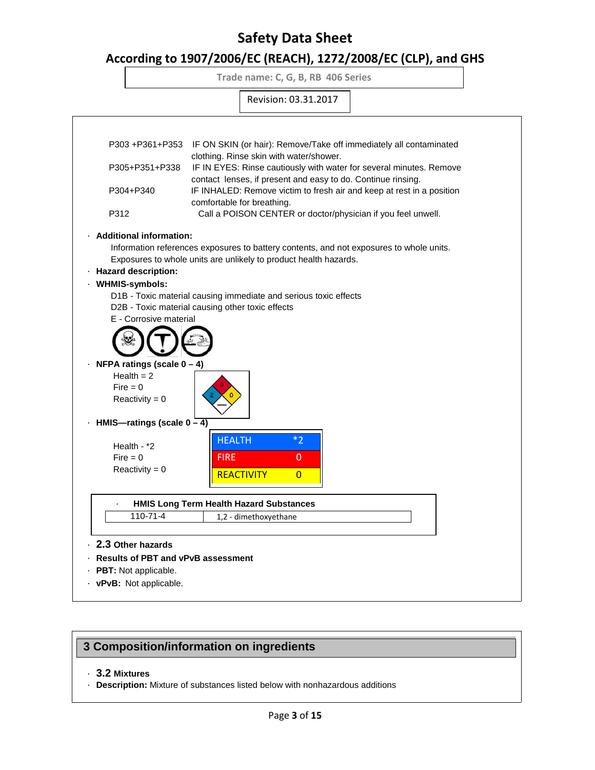## **According to 1907/2006/EC (REACH), 1272/2008/EC (CLP), and GHS**

**Trade name: C, G, B, RB 406 Series**



## **3 Composition/information on ingredients**

· **3.2 Mixtures**

· **Description:** Mixture of substances listed below with nonhazardous additions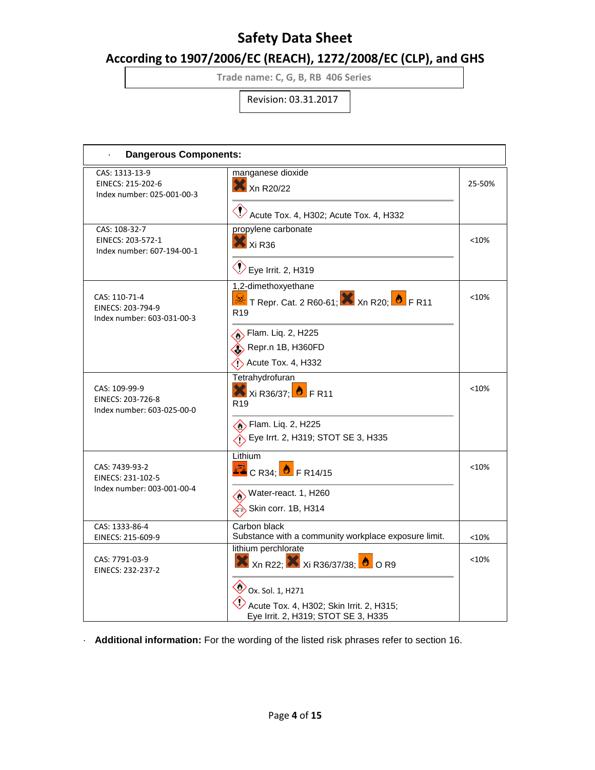# **According to 1907/2006/EC (REACH), 1272/2008/EC (CLP), and GHS**

**Trade name: C, G, B, RB 406 Series**

Revision: 03.31.2017

| <b>Dangerous Components:</b>                                               |                                                                                                                                                                           |                    |  |
|----------------------------------------------------------------------------|---------------------------------------------------------------------------------------------------------------------------------------------------------------------------|--------------------|--|
| CAS: 1313-13-9<br>EINECS: 215-202-6<br>Index number: 025-001-00-3          | manganese dioxide<br>Xn R20/22<br>$\bigcirc$ Acute Tox. 4, H302; Acute Tox. 4, H332                                                                                       | 25-50%             |  |
| CAS: 108-32-7<br>EINECS: 203-572-1<br>Index number: 607-194-00-1           | propylene carbonate<br>Xi R36<br>$\bigotimes$ Eye Irrit. 2, H319                                                                                                          | < 10%              |  |
| CAS: 110-71-4<br>EINECS: 203-794-9<br>Index number: 603-031-00-3           | 1,2-dimethoxyethane<br>T Repr. Cat. 2 R60-61; X Xn R20; <sup>1</sup> F R11<br>R <sub>19</sub><br>Stam. Liq. 2, H225<br>Repr.n 1B, H360FD<br>$\Diamond$ Acute Tox. 4, H332 | <10%               |  |
| CAS: 109-99-9<br>EINECS: 203-726-8<br>Index number: 603-025-00-0           | Tetrahydrofuran<br>$X$ Xi R36/37; $\bullet$ F R11<br>R <sub>19</sub><br>Flam. Liq. 2, H225<br>Eye Irrt. 2, H319; STOT SE 3, H335                                          | < 10%              |  |
| CAS: 7439-93-2<br>EINECS: 231-102-5<br>Index number: 003-001-00-4          | Lithium<br>$\overline{\mathbb{Z}}$ C R34; $\overline{\bullet}$ F R14/15<br>Water-react. 1, H260<br>Skin corr. 1B, H314                                                    | < 10%              |  |
| CAS: 1333-86-4<br>EINECS: 215-609-9<br>CAS: 7791-03-9<br>EINECS: 232-237-2 | Carbon black<br>Substance with a community workplace exposure limit.<br>lithium perchlorate<br><b>X</b> Xn R22; Xi R36/37/38; 0 R9<br>Ox. Sol. 1, H271                    | $<$ 10%<br>$<$ 10% |  |
|                                                                            | Acute Tox. 4, H302; Skin Irrit. 2, H315;<br>Eye Irrit. 2, H319; STOT SE 3, H335                                                                                           |                    |  |

· **Additional information:** For the wording of the listed risk phrases refer to section 16.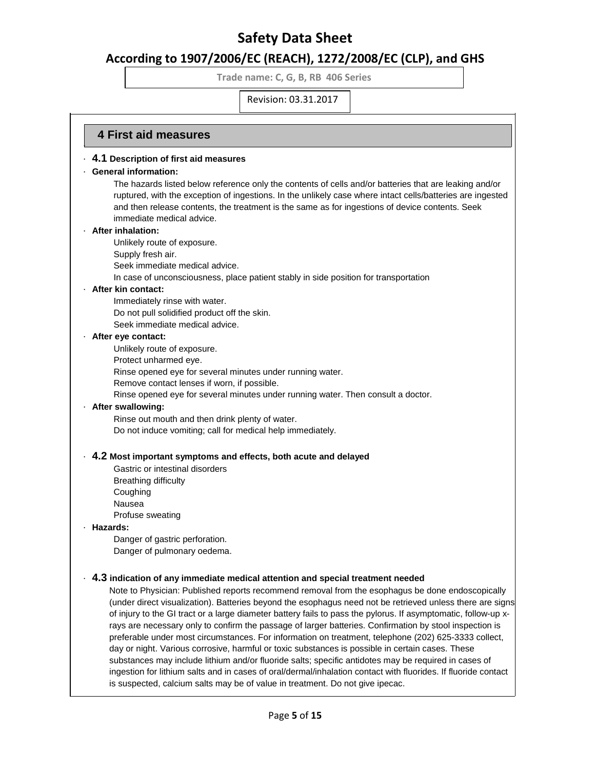# **According to 1907/2006/EC (REACH), 1272/2008/EC (CLP), and GHS**

**Trade name: C, G, B, RB 406 Series**

Revision: 03.31.2017

### **4 First aid measures** ·

### · **4.1 Description of first aid measures**

### · **General information:**

The hazards listed below reference only the contents of cells and/or batteries that are leaking and/or ruptured, with the exception of ingestions. In the unlikely case where intact cells/batteries are ingested and then release contents, the treatment is the same as for ingestions of device contents. Seek immediate medical advice.

#### · **After inhalation:**

Unlikely route of exposure.

Supply fresh air.

Seek immediate medical advice.

In case of unconsciousness, place patient stably in side position for transportation

### · **After kin contact:**

Immediately rinse with water.

Do not pull solidified product off the skin.

Seek immediate medical advice.

#### · **After eye contact:**

Unlikely route of exposure.

- Protect unharmed eye.
- Rinse opened eye for several minutes under running water.
- Remove contact lenses if worn, if possible.
- Rinse opened eye for several minutes under running water. Then consult a doctor.

### · **After swallowing:**

Rinse out mouth and then drink plenty of water. Do not induce vomiting; call for medical help immediately.

### · **4.2 Most important symptoms and effects, both acute and delayed**

Gastric or intestinal disorders Breathing difficulty Coughing Nausea

Profuse sweating

### · **Hazards:**

Danger of gastric perforation. Danger of pulmonary oedema.

### · **4.3 indication of any immediate medical attention and special treatment needed**

Note to Physician: Published reports recommend removal from the esophagus be done endoscopically (under direct visualization). Batteries beyond the esophagus need not be retrieved unless there are signs of injury to the GI tract or a large diameter battery fails to pass the pylorus. If asymptomatic, follow-up xrays are necessary only to confirm the passage of larger batteries. Confirmation by stool inspection is preferable under most circumstances. For information on treatment, telephone (202) 625-3333 collect, day or night. Various corrosive, harmful or toxic substances is possible in certain cases. These substances may include lithium and/or fluoride salts; specific antidotes may be required in cases of ingestion for lithium salts and in cases of oral/dermal/inhalation contact with fluorides. If fluoride contact is suspected, calcium salts may be of value in treatment. Do not give ipecac.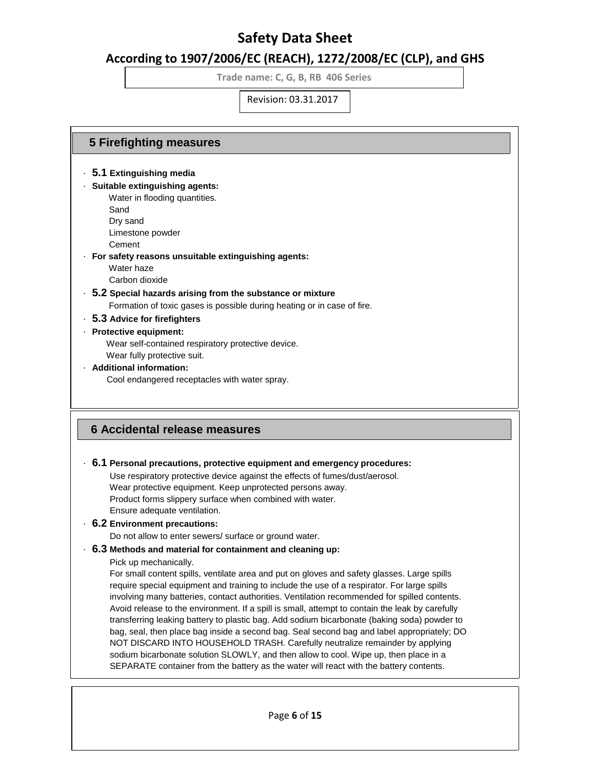## **According to 1907/2006/EC (REACH), 1272/2008/EC (CLP), and GHS**

**Trade name: C, G, B, RB 406 Series**

Revision: 03.31.2017

### **5 Firefighting measures**

- · **5.1 Extinguishing media**
- · **Suitable extinguishing agents:**
	- Water in flooding quantities.
	- Sand
	- Dry sand Limestone powder
	- Cement
- · **For safety reasons unsuitable extinguishing agents:**
	- Water haze
	- Carbon dioxide
- · **5.2 Special hazards arising from the substance or mixture**

Formation of toxic gases is possible during heating or in case of fire.

· **5.3 Advice for firefighters**

### · **Protective equipment:**

 Wear self-contained respiratory protective device. Wear fully protective suit.

- · **Additional information:**
	- Cool endangered receptacles with water spray.

## **6 Accidental release measures**

### · **6.1 Personal precautions, protective equipment and emergency procedures:**

 Use respiratory protective device against the effects of fumes/dust/aerosol. Wear protective equipment. Keep unprotected persons away. Product forms slippery surface when combined with water. Ensure adequate ventilation.

### · **6.2 Environment precautions:**

Do not allow to enter sewers/ surface or ground water.

### · **6.3 Methods and material for containment and cleaning up:**

Pick up mechanically.

 For small content spills, ventilate area and put on gloves and safety glasses. Large spills require special equipment and training to include the use of a respirator. For large spills involving many batteries, contact authorities. Ventilation recommended for spilled contents. Avoid release to the environment. If a spill is small, attempt to contain the leak by carefully transferring leaking battery to plastic bag. Add sodium bicarbonate (baking soda) powder to bag, seal, then place bag inside a second bag. Seal second bag and label appropriately; DO NOT DISCARD INTO HOUSEHOLD TRASH. Carefully neutralize remainder by applying sodium bicarbonate solution SLOWLY, and then allow to cool. Wipe up, then place in a SEPARATE container from the battery as the water will react with the battery contents.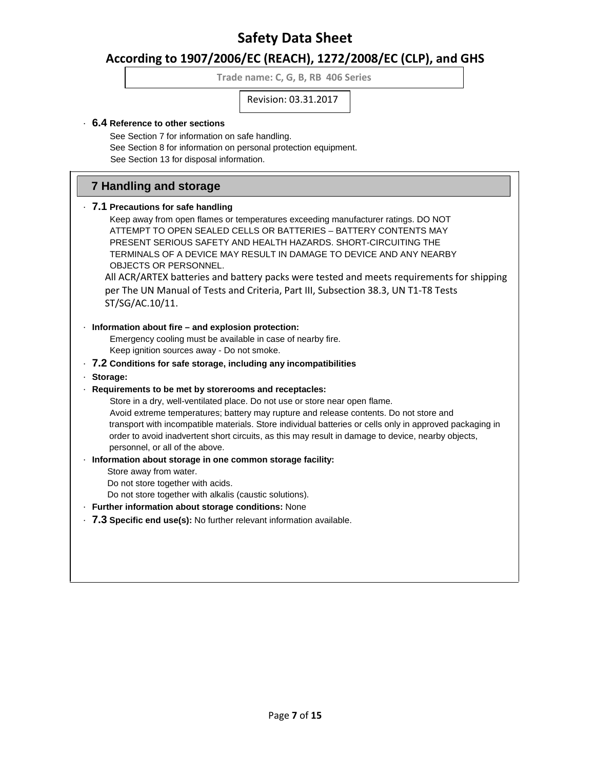# **According to 1907/2006/EC (REACH), 1272/2008/EC (CLP), and GHS**

**Trade name: C, G, B, RB 406 Series**

Revision: 03.31.2017

### · **6.4 Reference to other sections**

 See Section 7 for information on safe handling. See Section 8 for information on personal protection equipment. See Section 13 for disposal information.

## **7 Handling and storage**

### · **7.1 Precautions for safe handling**

 Keep away from open flames or temperatures exceeding manufacturer ratings. DO NOT ATTEMPT TO OPEN SEALED CELLS OR BATTERIES – BATTERY CONTENTS MAY PRESENT SERIOUS SAFETY AND HEALTH HAZARDS. SHORT-CIRCUITING THE TERMINALS OF A DEVICE MAY RESULT IN DAMAGE TO DEVICE AND ANY NEARBY OBJECTS OR PERSONNEL.

All ACR/ARTEX batteries and battery packs were tested and meets requirements for shipping per The UN Manual of Tests and Criteria, Part III, Subsection 38.3, UN T1-T8 Tests ST/SG/AC.10/11.

### · **Information about fire – and explosion protection:**

 Emergency cooling must be available in case of nearby fire. Keep ignition sources away - Do not smoke.

### · **7.2 Conditions for safe storage, including any incompatibilities**

#### · **Storage:**

### · **Requirements to be met by storerooms and receptacles:**

 Store in a dry, well-ventilated place. Do not use or store near open flame. Avoid extreme temperatures; battery may rupture and release contents. Do not store and transport with incompatible materials. Store individual batteries or cells only in approved packaging in order to avoid inadvertent short circuits, as this may result in damage to device, nearby objects, personnel, or all of the above.

### · **Information about storage in one common storage facility:**

Store away from water.

Do not store together with acids.

Do not store together with alkalis (caustic solutions).

### · **Further information about storage conditions:** None

### · **7.3 Specific end use(s):** No further relevant information available.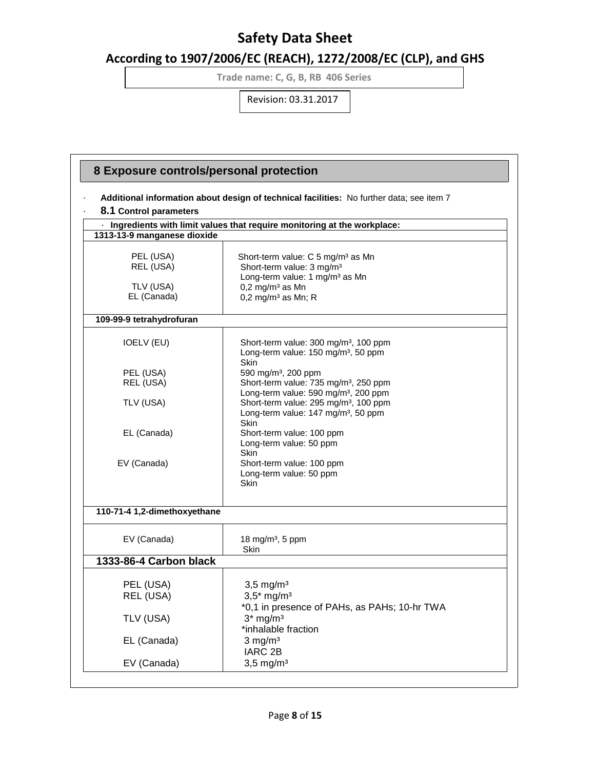# **According to 1907/2006/EC (REACH), 1272/2008/EC (CLP), and GHS**

**Trade name: C, G, B, RB 406 Series**

|                              | Additional information about design of technical facilities: No further data; see item 7                                                                 |  |
|------------------------------|----------------------------------------------------------------------------------------------------------------------------------------------------------|--|
| 8.1 Control parameters       |                                                                                                                                                          |  |
|                              | · Ingredients with limit values that require monitoring at the workplace:                                                                                |  |
| 1313-13-9 manganese dioxide  |                                                                                                                                                          |  |
| PEL (USA)<br>REL (USA)       | Short-term value: C 5 mg/m <sup>3</sup> as Mn<br>Short-term value: 3 mg/m <sup>3</sup><br>Long-term value: 1 mg/m <sup>3</sup> as Mn                     |  |
| TLV (USA)<br>EL (Canada)     | $0,2$ mg/m <sup>3</sup> as Mn<br>$0,2$ mg/m <sup>3</sup> as Mn; R                                                                                        |  |
| 109-99-9 tetrahydrofuran     |                                                                                                                                                          |  |
| <b>IOELV (EU)</b>            | Short-term value: 300 mg/m <sup>3</sup> , 100 ppm<br>Long-term value: 150 mg/m <sup>3</sup> , 50 ppm<br>Skin                                             |  |
| PEL (USA)                    | 590 mg/m <sup>3</sup> , 200 ppm                                                                                                                          |  |
| REL (USA)                    | Short-term value: 735 mg/m <sup>3</sup> , 250 ppm                                                                                                        |  |
| TLV (USA)                    | Long-term value: 590 mg/m <sup>3</sup> , 200 ppm<br>Short-term value: 295 mg/m <sup>3</sup> , 100 ppm<br>Long-term value: 147 mg/m <sup>3</sup> , 50 ppm |  |
| EL (Canada)                  | <b>Skin</b><br>Short-term value: 100 ppm<br>Long-term value: 50 ppm<br>Skin                                                                              |  |
| EV (Canada)                  | Short-term value: 100 ppm<br>Long-term value: 50 ppm<br>Skin                                                                                             |  |
| 110-71-4 1,2-dimethoxyethane |                                                                                                                                                          |  |
| EV (Canada)                  | 18 mg/m <sup>3</sup> , 5 ppm<br><b>Skin</b>                                                                                                              |  |
| 1333-86-4 Carbon black       |                                                                                                                                                          |  |
| PEL (USA)<br>REL (USA)       | $3,5 \text{ mg/m}^3$<br>$3,5*$ mg/m <sup>3</sup>                                                                                                         |  |
| TLV (USA)                    | *0,1 in presence of PAHs, as PAHs; 10-hr TWA<br>$3*$ mg/m <sup>3</sup><br>*inhalable fraction                                                            |  |
| EL (Canada)                  | $3$ mg/m <sup>3</sup><br>IARC <sub>2B</sub>                                                                                                              |  |
| EV (Canada)                  | $3,5$ mg/m <sup>3</sup>                                                                                                                                  |  |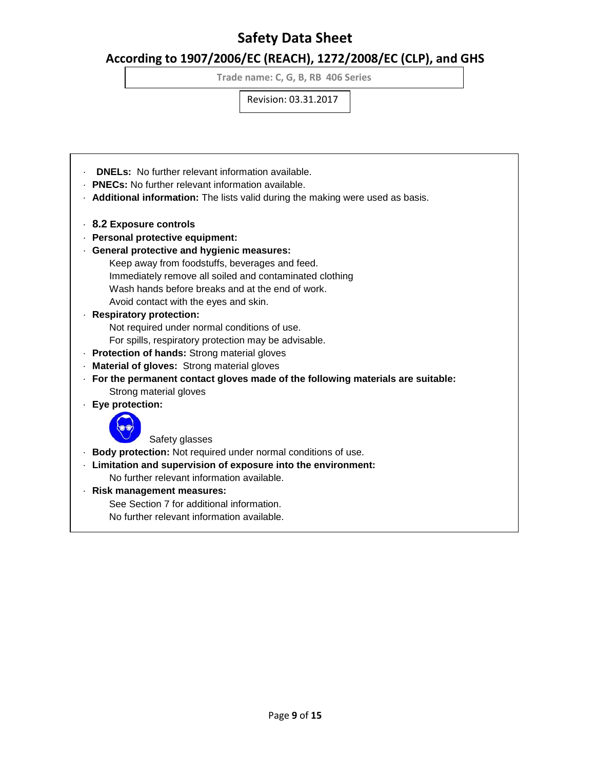# **According to 1907/2006/EC (REACH), 1272/2008/EC (CLP), and GHS**

**Trade name: C, G, B, RB 406 Series**

Revision: 03.31.2017

- · **DNELs:** No further relevant information available.
- · **PNECs:** No further relevant information available.
- · **Additional information:** The lists valid during the making were used as basis.
- · **8.2 Exposure controls**
- · **Personal protective equipment:**
- · **General protective and hygienic measures:**
	- Keep away from foodstuffs, beverages and feed.
	- Immediately remove all soiled and contaminated clothing
	- Wash hands before breaks and at the end of work.
	- Avoid contact with the eyes and skin.

### · **Respiratory protection:**

Not required under normal conditions of use.

- For spills, respiratory protection may be advisable.
- · **Protection of hands:** Strong material gloves
- · **Material of gloves:** Strong material gloves
- · **For the permanent contact gloves made of the following materials are suitable:** Strong material gloves
- · **Eye protection:**



Safety glasses

- · **Body protection:** Not required under normal conditions of use.
- · **Limitation and supervision of exposure into the environment:** No further relevant information available.
- · **Risk management measures:**

See Section 7 for additional information.

No further relevant information available.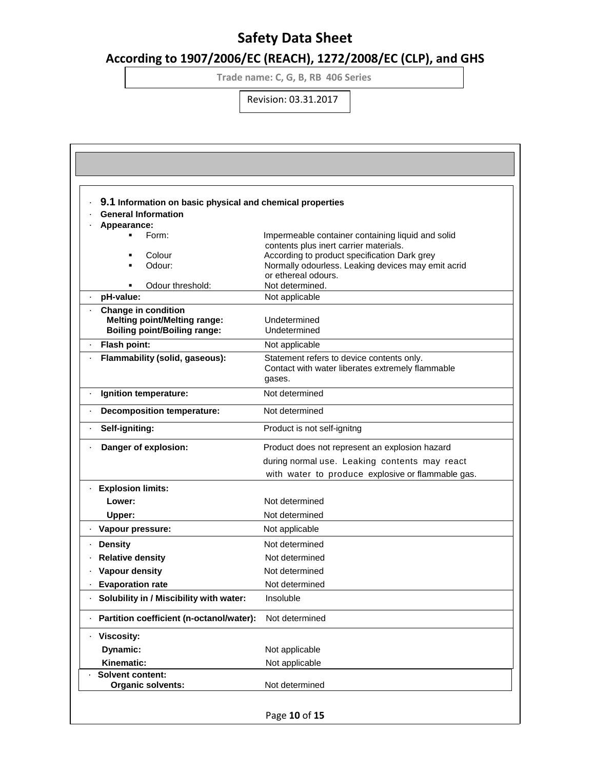# **According to 1907/2006/EC (REACH), 1272/2008/EC (CLP), and GHS**

**Trade name: C, G, B, RB 406 Series**

| 9.1 Information on basic physical and chemical properties |                                                                                             |
|-----------------------------------------------------------|---------------------------------------------------------------------------------------------|
| <b>General Information</b>                                |                                                                                             |
| Appearance:<br>Form:                                      |                                                                                             |
|                                                           | Impermeable container containing liquid and solid<br>contents plus inert carrier materials. |
| Colour<br>٠                                               | According to product specification Dark grey                                                |
| Odour:<br>٠                                               | Normally odourless. Leaking devices may emit acrid                                          |
|                                                           | or ethereal odours.                                                                         |
| Odour threshold:<br>pH-value:                             | Not determined.<br>Not applicable                                                           |
| <b>Change in condition</b>                                |                                                                                             |
| <b>Melting point/Melting range:</b>                       | Undetermined                                                                                |
| <b>Boiling point/Boiling range:</b>                       | Undetermined                                                                                |
| Flash point:                                              | Not applicable                                                                              |
| Flammability (solid, gaseous):                            | Statement refers to device contents only.                                                   |
|                                                           | Contact with water liberates extremely flammable                                            |
|                                                           | gases.                                                                                      |
| Ignition temperature:                                     | Not determined                                                                              |
| <b>Decomposition temperature:</b>                         | Not determined                                                                              |
| Self-igniting:                                            | Product is not self-ignitng                                                                 |
| Danger of explosion:                                      | Product does not represent an explosion hazard                                              |
|                                                           | during normal use. Leaking contents may react                                               |
|                                                           | with water to produce explosive or flammable gas.                                           |
| <b>Explosion limits:</b>                                  |                                                                                             |
| Lower:                                                    | Not determined                                                                              |
| Upper:                                                    | Not determined                                                                              |
| · Vapour pressure:                                        | Not applicable                                                                              |
| <b>Density</b>                                            | Not determined                                                                              |
| <b>Relative density</b>                                   | Not determined                                                                              |
| Vapour density                                            | Not determined                                                                              |
| <b>Evaporation rate</b>                                   | Not determined                                                                              |
| Solubility in / Miscibility with water:                   | Insoluble                                                                                   |
| Partition coefficient (n-octanol/water):                  | Not determined                                                                              |
| <b>Viscosity:</b>                                         |                                                                                             |
| Dynamic:                                                  | Not applicable                                                                              |
| Kinematic:                                                | Not applicable                                                                              |
| <b>Solvent content:</b>                                   |                                                                                             |
| Organic solvents:                                         | Not determined                                                                              |
|                                                           |                                                                                             |
|                                                           | Page 10 of 15                                                                               |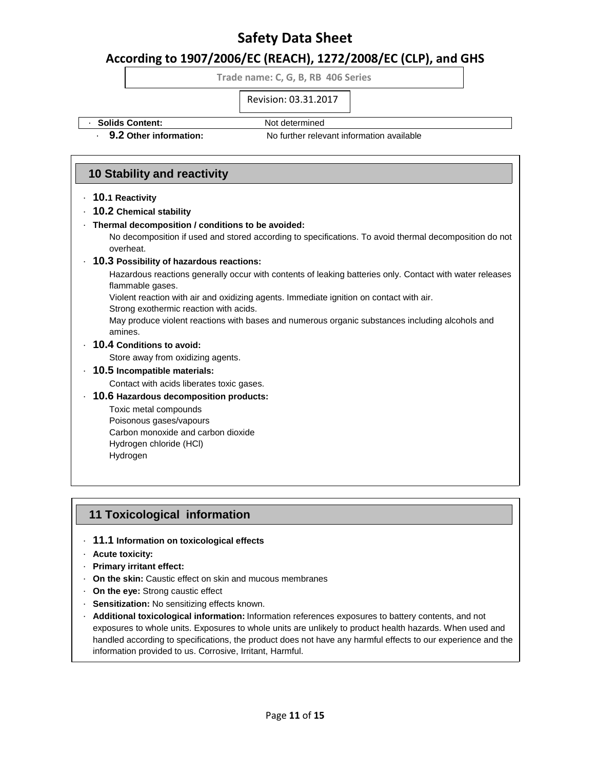## **According to 1907/2006/EC (REACH), 1272/2008/EC (CLP), and GHS**

**Trade name: C, G, B, RB 406 Series**

Revision: 03.31.2017

### • **Solids Content:** Not determined

· **9.2 Other information:** No further relevant information available

## **10 Stability and reactivity**

- · **10.1 Reactivity**
- · **10.2 Chemical stability**
- · **Thermal decomposition / conditions to be avoided:**

No decomposition if used and stored according to specifications. To avoid thermal decomposition do not overheat.

### · **10.3 Possibility of hazardous reactions:**

Hazardous reactions generally occur with contents of leaking batteries only. Contact with water releases flammable gases.

Violent reaction with air and oxidizing agents. Immediate ignition on contact with air.

Strong exothermic reaction with acids.

May produce violent reactions with bases and numerous organic substances including alcohols and amines.

### · **10.4 Conditions to avoid:**

Store away from oxidizing agents.

- · **10.5 Incompatible materials:**
	- Contact with acids liberates toxic gases.
- · **10.6 Hazardous decomposition products:**

Toxic metal compounds Poisonous gases/vapours Carbon monoxide and carbon dioxide Hydrogen chloride (HCl) Hydrogen

## **11 Toxicological information**

- · **11.1 Information on toxicological effects**
- · **Acute toxicity:**
- · **Primary irritant effect:**
- · **On the skin:** Caustic effect on skin and mucous membranes
- · **On the eye:** Strong caustic effect
- · **Sensitization:** No sensitizing effects known.
- · **Additional toxicological information:** Information references exposures to battery contents, and not exposures to whole units. Exposures to whole units are unlikely to product health hazards. When used and handled according to specifications, the product does not have any harmful effects to our experience and the information provided to us. Corrosive, Irritant, Harmful.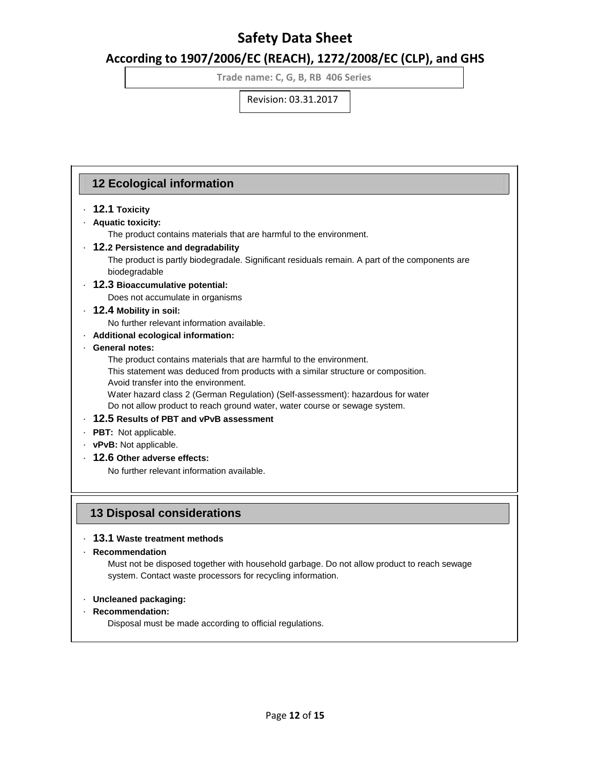# **According to 1907/2006/EC (REACH), 1272/2008/EC (CLP), and GHS**

**Trade name: C, G, B, RB 406 Series**

Revision: 03.31.2017

## **12 Ecological information**

### · **12.1 Toxicity**

### · **Aquatic toxicity:**

The product contains materials that are harmful to the environment.

### · **12.2 Persistence and degradability**

 The product is partly biodegradale. Significant residuals remain. A part of the components are biodegradable

### · **12.3 Bioaccumulative potential:**

Does not accumulate in organisms

### · **12.4 Mobility in soil:**

No further relevant information available.

### · **Additional ecological information:**

### · **General notes:**

The product contains materials that are harmful to the environment.

This statement was deduced from products with a similar structure or composition.

Avoid transfer into the environment.

 Water hazard class 2 (German Regulation) (Self-assessment): hazardous for water Do not allow product to reach ground water, water course or sewage system.

### · **12.5 Results of PBT and vPvB assessment**

- · **PBT:** Not applicable.
- · **vPvB:** Not applicable.
- · **12.6 Other adverse effects:**

No further relevant information available.

## **13 Disposal considerations**

### · **13.1 Waste treatment methods**

### · **Recommendation**

 Must not be disposed together with household garbage. Do not allow product to reach sewage system. Contact waste processors for recycling information.

### · **Uncleaned packaging:**

### · **Recommendation:**

Disposal must be made according to official regulations.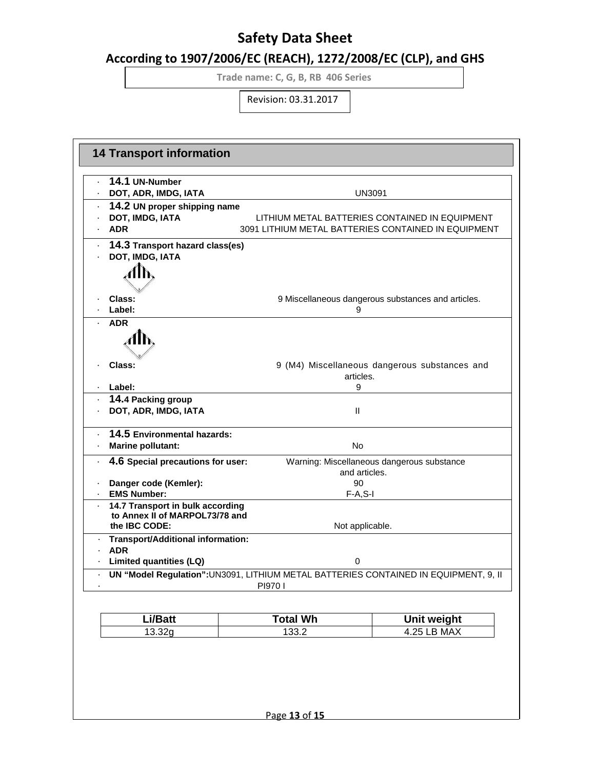# **According to 1907/2006/EC (REACH), 1272/2008/EC (CLP), and GHS**

**Trade name: C, G, B, RB 406 Series**

| <b>14 Transport information</b>                 |                                                                                                       |                                                    |
|-------------------------------------------------|-------------------------------------------------------------------------------------------------------|----------------------------------------------------|
| 14.1 UN-Number                                  |                                                                                                       |                                                    |
| DOT, ADR, IMDG, IATA                            | <b>UN3091</b>                                                                                         |                                                    |
| 14.2 UN proper shipping name                    |                                                                                                       |                                                    |
| DOT, IMDG, IATA<br><b>ADR</b>                   | LITHIUM METAL BATTERIES CONTAINED IN EQUIPMENT<br>3091 LITHIUM METAL BATTERIES CONTAINED IN EQUIPMENT |                                                    |
|                                                 |                                                                                                       |                                                    |
| 14.3 Transport hazard class(es)                 |                                                                                                       |                                                    |
| DOT, IMDG, IATA                                 |                                                                                                       |                                                    |
|                                                 |                                                                                                       |                                                    |
|                                                 |                                                                                                       |                                                    |
| Class:                                          |                                                                                                       | 9 Miscellaneous dangerous substances and articles. |
| Label:                                          | 9                                                                                                     |                                                    |
| <b>ADR</b>                                      |                                                                                                       |                                                    |
| AIN                                             |                                                                                                       |                                                    |
| Class:                                          |                                                                                                       | 9 (M4) Miscellaneous dangerous substances and      |
|                                                 | articles.                                                                                             |                                                    |
| · Label:                                        | 9                                                                                                     |                                                    |
| 14.4 Packing group                              |                                                                                                       |                                                    |
| DOT, ADR, IMDG, IATA                            | Ш                                                                                                     |                                                    |
| 14.5 Environmental hazards:                     |                                                                                                       |                                                    |
| <b>Marine pollutant:</b>                        | <b>No</b>                                                                                             |                                                    |
| 4.6 Special precautions for user:               |                                                                                                       | Warning: Miscellaneous dangerous substance         |
|                                                 | and articles.                                                                                         |                                                    |
| Danger code (Kemler):                           | 90                                                                                                    |                                                    |
| <b>EMS Number:</b>                              | $F-A, S-I$                                                                                            |                                                    |
| 14.7 Transport in bulk according                |                                                                                                       |                                                    |
| to Annex II of MARPOL73/78 and<br>the IBC CODE: | Not applicable.                                                                                       |                                                    |
| <b>Transport/Additional information:</b>        |                                                                                                       |                                                    |
| <b>ADR</b>                                      |                                                                                                       |                                                    |
| Limited quantities (LQ)                         | 0                                                                                                     |                                                    |
|                                                 | UN "Model Regulation": UN3091, LITHIUM METAL BATTERIES CONTAINED IN EQUIPMENT, 9, II                  |                                                    |
|                                                 | PI9701                                                                                                |                                                    |
|                                                 |                                                                                                       |                                                    |
| Li/Batt                                         | <b>Total Wh</b>                                                                                       | Unit weight                                        |
| 13.32g                                          | 133.2                                                                                                 | <b>4.25 LB MAX</b>                                 |
|                                                 |                                                                                                       |                                                    |
|                                                 | Page 13 of 15                                                                                         |                                                    |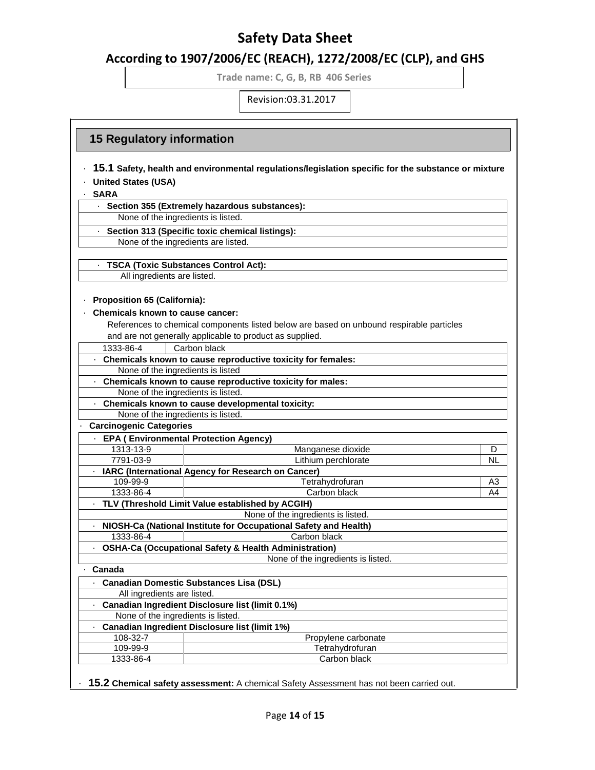## **According to 1907/2006/EC (REACH), 1272/2008/EC (CLP), and GHS**

**Trade name: C, G, B, RB 406 Series**

Revision:03.31.2017

## **15 Regulatory information**

- · **15.1 Safety, health and environmental regulations/legislation specific for the substance or mixture**
- · **United States (USA)**

· **SARA**

· **Section 355 (Extremely hazardous substances):**

None of the ingredients is listed.

· **Section 313 (Specific toxic chemical listings):**

None of the ingredients are listed.

· **TSCA (Toxic Substances Control Act):**

All ingredients are listed.

### · **Proposition 65 (California):**

### · **Chemicals known to cause cancer:**

References to chemical components listed below are based on unbound respirable particles and are not generally applicable to product as supplied.

|                                | and are not generally applicable to product as supplied.         |                |
|--------------------------------|------------------------------------------------------------------|----------------|
| 1333-86-4                      | Carbon black                                                     |                |
|                                | Chemicals known to cause reproductive toxicity for females:      |                |
|                                | None of the ingredients is listed                                |                |
|                                | Chemicals known to cause reproductive toxicity for males:        |                |
|                                | None of the ingredients is listed.                               |                |
|                                | Chemicals known to cause developmental toxicity:                 |                |
|                                | None of the ingredients is listed.                               |                |
| <b>Carcinogenic Categories</b> |                                                                  |                |
|                                | <b>EPA (Environmental Protection Agency)</b>                     |                |
| 1313-13-9                      | Manganese dioxide                                                | D              |
| 7791-03-9                      | Lithium perchlorate                                              | ΝL             |
|                                | IARC (International Agency for Research on Cancer)               |                |
| 109-99-9                       | Tetrahydrofuran                                                  | A3             |
| 1333-86-4                      | Carbon black                                                     | A <sub>4</sub> |
|                                | TLV (Threshold Limit Value established by ACGIH)                 |                |
|                                | None of the ingredients is listed.                               |                |
|                                | NIOSH-Ca (National Institute for Occupational Safety and Health) |                |
| 1333-86-4                      | Carbon black                                                     |                |
|                                | <b>OSHA-Ca (Occupational Safety &amp; Health Administration)</b> |                |
|                                | None of the ingredients is listed.                               |                |
| Canada                         |                                                                  |                |
|                                | · Canadian Domestic Substances Lisa (DSL)                        |                |
|                                | All ingredients are listed.                                      |                |
|                                | Canadian Ingredient Disclosure list (limit 0.1%)                 |                |
|                                | None of the ingredients is listed.                               |                |
|                                | <b>Canadian Ingredient Disclosure list (limit 1%)</b>            |                |
| 108-32-7                       | Propylene carbonate                                              |                |
| 109-99-9                       | Tetrahydrofuran                                                  |                |
| 1333-86-4                      | Carbon black                                                     |                |

· **15.2 Chemical safety assessment:** A chemical Safety Assessment has not been carried out.